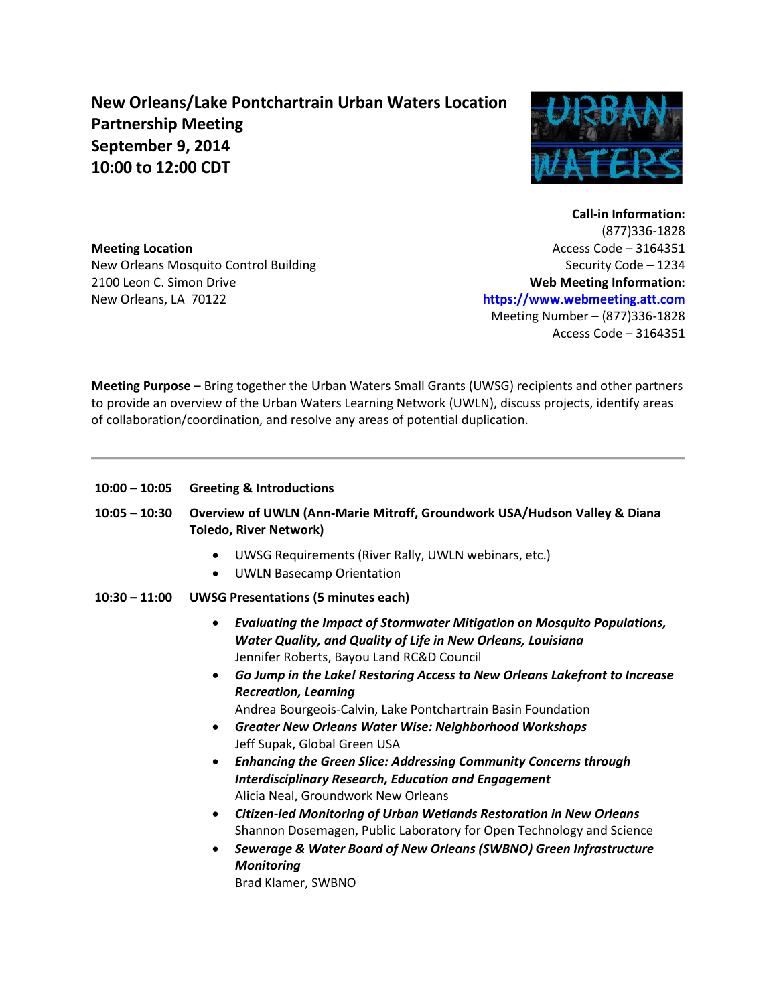## **New Orleans/Lake Pontchartrain Urban Waters Location Partnership Meeting September 9, 2014 10:00 to 12:00 CDT**



**Meeting Location**  New Orleans Mosquito Control Building 2100 Leon C. Simon Drive New Orleans, LA 70122

**Call-in Information:**  (877)336-1828 Access Code – 3164351 Security Code – 1234 **Web Meeting Information: [https://www.webmeeting.att.com](https://www.webmeeting.att.com/)** Meeting Number – (877)336-1828 Access Code – 3164351

**Meeting Purpose** – Bring together the Urban Waters Small Grants (UWSG) recipients and other partners to provide an overview of the Urban Waters Learning Network (UWLN), discuss projects, identify areas of collaboration/coordination, and resolve any areas of potential duplication.

- **10:00 – 10:05 Greeting & Introductions**
- **10:05 – 10:30 Overview of UWLN (Ann-Marie Mitroff, Groundwork USA/Hudson Valley & Diana Toledo, River Network)** 
	- UWSG Requirements (River Rally, UWLN webinars, etc.)
	- UWLN Basecamp Orientation
- **10:30 – 11:00 UWSG Presentations (5 minutes each)** 
	- *Evaluating the Impact of Stormwater Mitigation on Mosquito Populations, Water Quality, and Quality of Life in New Orleans, Louisiana* Jennifer Roberts, Bayou Land RC&D Council
	- *Go Jump in the Lake! Restoring Access to New Orleans Lakefront to Increase Recreation, Learning*
		- Andrea Bourgeois-Calvin, Lake Pontchartrain Basin Foundation
	- *Greater New Orleans Water Wise: Neighborhood Workshops* Jeff Supak, Global Green USA
	- *Enhancing the Green Slice: Addressing Community Concerns through Interdisciplinary Research, Education and Engagement* Alicia Neal, Groundwork New Orleans
	- *Citizen-led Monitoring of Urban Wetlands Restoration in New Orleans* Shannon Dosemagen, Public Laboratory for Open Technology and Science
	- *Sewerage & Water Board of New Orleans (SWBNO) Green Infrastructure Monitoring* Brad Klamer, SWBNO